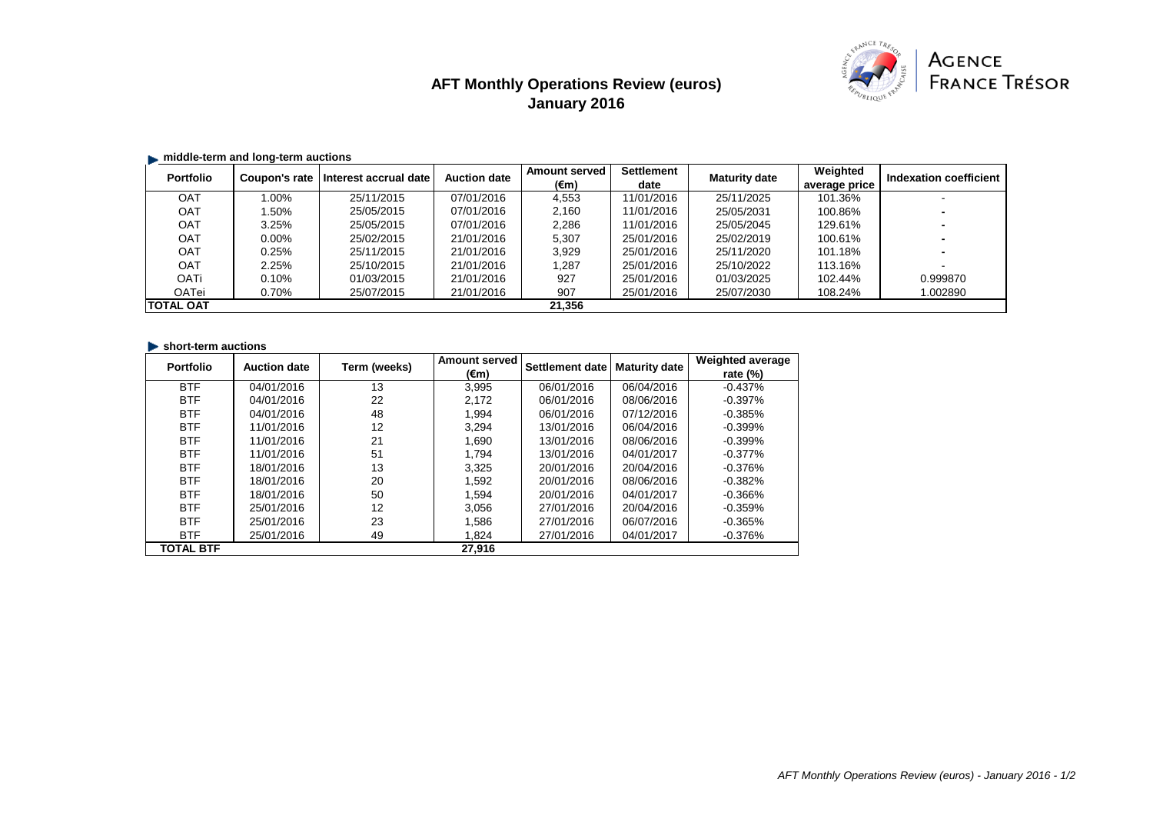# **AFT Monthly Operations Review (euros) January 2016**



## $\blacksquare$  middle-term and long-term auctions

| <b>Portfolio</b> | Coupon's rate | Interest accrual date | <b>Auction date</b> | <b>Amount served</b> | <b>Settlement</b> | <b>Maturity date</b> | Weighted      | Indexation coefficient |
|------------------|---------------|-----------------------|---------------------|----------------------|-------------------|----------------------|---------------|------------------------|
|                  |               |                       |                     | (€m)                 | date              |                      | average price |                        |
| OAT              | $1.00\%$      | 25/11/2015            | 07/01/2016          | 4,553                | 11/01/2016        | 25/11/2025           | 101.36%       |                        |
| OAT              | 1.50%         | 25/05/2015            | 07/01/2016          | 2,160                | 11/01/2016        | 25/05/2031           | 100.86%       |                        |
| <b>OAT</b>       | 3.25%         | 25/05/2015            | 07/01/2016          | 2,286                | 11/01/2016        | 25/05/2045           | 129.61%       |                        |
| OAT              | $0.00\%$      | 25/02/2015            | 21/01/2016          | 5,307                | 25/01/2016        | 25/02/2019           | 100.61%       |                        |
| <b>OAT</b>       | 0.25%         | 25/11/2015            | 21/01/2016          | 3,929                | 25/01/2016        | 25/11/2020           | 101.18%       |                        |
| <b>OAT</b>       | 2.25%         | 25/10/2015            | 21/01/2016          | 1,287                | 25/01/2016        | 25/10/2022           | 113.16%       |                        |
| <b>OATi</b>      | 0.10%         | 01/03/2015            | 21/01/2016          | 927                  | 25/01/2016        | 01/03/2025           | 102.44%       | 0.999870               |
| OATei            | 0.70%         | 25/07/2015            | 21/01/2016          | 907                  | 25/01/2016        | 25/07/2030           | 108.24%       | 1.002890               |
| <b>TOTAL OAT</b> |               |                       |                     | 21.356               |                   |                      |               |                        |

#### **In short-term auctions**

| <b>Portfolio</b> | <b>Auction date</b> | Term (weeks) | <b>Amount served</b> | Settlement date | <b>Maturity date</b> | <b>Weighted average</b> |
|------------------|---------------------|--------------|----------------------|-----------------|----------------------|-------------------------|
|                  |                     |              | (€m)                 |                 |                      | rate $(\%)$             |
| <b>BTF</b>       | 04/01/2016          | 13           | 3.995                | 06/01/2016      | 06/04/2016           | $-0.437%$               |
| <b>BTF</b>       | 04/01/2016          | 22           | 2.172                | 06/01/2016      | 08/06/2016           | $-0.397%$               |
| <b>BTF</b>       | 04/01/2016          | 48           | 1.994                | 06/01/2016      | 07/12/2016           | $-0.385%$               |
| <b>BTF</b>       | 11/01/2016          | 12           | 3.294                | 13/01/2016      | 06/04/2016           | $-0.399%$               |
| <b>BTF</b>       | 11/01/2016          | 21           | 1.690                | 13/01/2016      | 08/06/2016           | $-0.399%$               |
| <b>BTF</b>       | 11/01/2016          | 51           | 1.794                | 13/01/2016      | 04/01/2017           | $-0.377%$               |
| <b>BTF</b>       | 18/01/2016          | 13           | 3.325                | 20/01/2016      | 20/04/2016           | $-0.376%$               |
| <b>BTF</b>       | 18/01/2016          | 20           | 1.592                | 20/01/2016      | 08/06/2016           | $-0.382%$               |
| <b>BTF</b>       | 18/01/2016          | 50           | 1.594                | 20/01/2016      | 04/01/2017           | $-0.366%$               |
| <b>BTF</b>       | 25/01/2016          | 12           | 3.056                | 27/01/2016      | 20/04/2016           | $-0.359%$               |
| <b>BTF</b>       | 25/01/2016          | 23           | 1.586                | 27/01/2016      | 06/07/2016           | $-0.365%$               |
| <b>BTF</b>       | 25/01/2016          | 49           | 1.824                | 27/01/2016      | 04/01/2017           | $-0.376\%$              |
| <b>TOTAL BTF</b> |                     |              | 27.916               |                 |                      |                         |